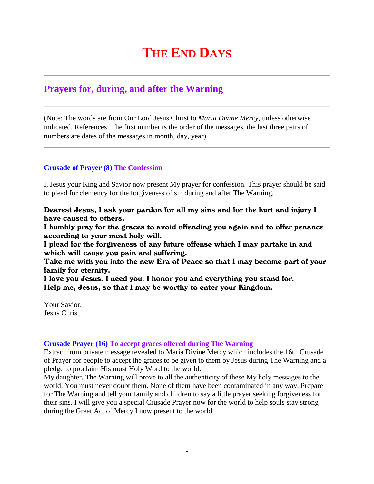# **THE END DAYS**

## **Prayers for, during, and after the Warning**

(Note: The words are from Our Lord Jesus Christ to *Maria Divine Mercy*, unless otherwise indicated. References: The first number is the order of the messages, the last three pairs of numbers are dates of the messages in month, day, year)

### **Crusade of Prayer (8) The Confession**

I, Jesus your King and Savior now present My prayer for confession. This prayer should be said to plead for clemency for the forgiveness of sin during and after The Warning.

Dearest Jesus, I ask your pardon for all my sins and for the hurt and injury I have caused to others.

I humbly pray for the graces to avoid offending you again and to offer penance according to your most holy will.

I plead for the forgiveness of any future offense which I may partake in and which will cause you pain and suffering.

Take me with you into the new Era of Peace so that I may become part of your family for eternity.

I love you Jesus. I need you. I honor you and everything you stand for. Help me, Jesus, so that I may be worthy to enter your Kingdom.

Your Savior, Jesus Christ

#### **Crusade Prayer (16) To accept graces offered during The Warning**

Extract from private message revealed to Maria Divine Mercy which includes the 16th Crusade of Prayer for people to accept the graces to be given to them by Jesus during The Warning and a pledge to proclaim His most Holy Word to the world.

My daughter, The Warning will prove to all the authenticity of these My holy messages to the world. You must never doubt them. None of them have been contaminated in any way. Prepare for The Warning and tell your family and children to say a little prayer seeking forgiveness for their sins. I will give you a special Crusade Prayer now for the world to help souls stay strong during the Great Act of Mercy I now present to the world.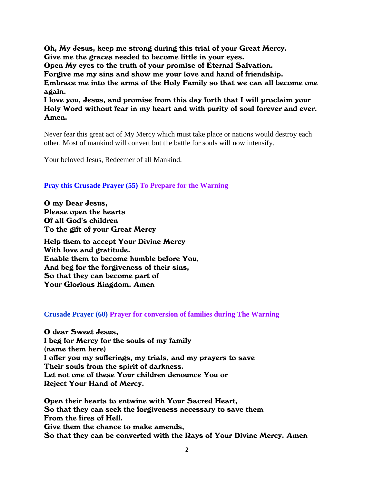Oh, My Jesus, keep me strong during this trial of your Great Mercy. Give me the graces needed to become little in your eyes. Open My eyes to the truth of your promise of Eternal Salvation. Forgive me my sins and show me your love and hand of friendship. Embrace me into the arms of the Holy Family so that we can all become one again.

I love you, Jesus, and promise from this day forth that I will proclaim your Holy Word without fear in my heart and with purity of soul forever and ever. Amen.

Never fear this great act of My Mercy which must take place or nations would destroy each other. Most of mankind will convert but the battle for souls will now intensify.

Your beloved Jesus, Redeemer of all Mankind.

#### **Pray this Crusade Prayer (55) To Prepare for the Warning**

O my Dear Jesus, Please open the hearts Of all God's children To the gift of your Great Mercy

Help them to accept Your Divine Mercy With love and gratitude. Enable them to become humble before You, And beg for the forgiveness of their sins, So that they can become part of Your Glorious Kingdom. Amen

#### **Crusade Prayer (60) Prayer for conversion of families during The Warning**

O dear Sweet Jesus, I beg for Mercy for the souls of my family (name them here) I offer you my sufferings, my trials, and my prayers to save Their souls from the spirit of darkness. Let not one of these Your children denounce You or Reject Your Hand of Mercy.

Open their hearts to entwine with Your Sacred Heart, So that they can seek the forgiveness necessary to save them From the fires of Hell. Give them the chance to make amends, So that they can be converted with the Rays of Your Divine Mercy. Amen